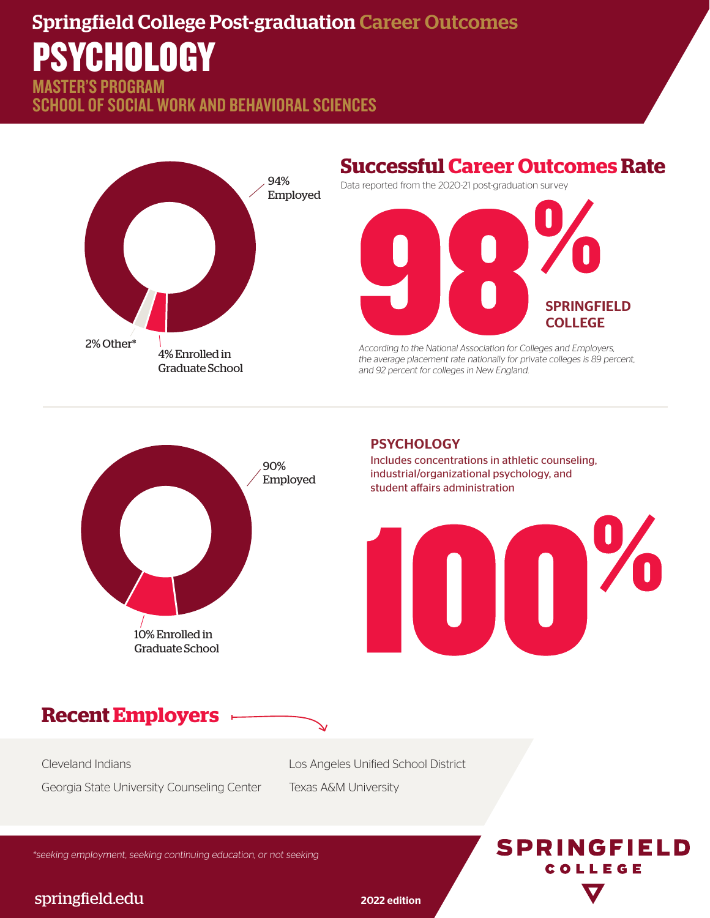# Springfield College Post-graduation Career Outcomes PSYCHOLOGY

STER'S PROGRAM SCHOOL OF SOCIAL WORK AND BEHAVIORAL SCIENCES



## **Successful Career Outcomes Rate**

Data reported from the 2020-21 post-graduation survey



According to the National Association for Colleges and Employers, the average placement rate nationally for private colleges is 89 percent, and 92 percent for colleges in New England.



#### **PSYCHOLOGY**

Includes concentrations in athletic counseling, industrial/organizational psychology, and student affairs administration



# **Recent Employers**

Cleveland Indians Georgia State University Counseling Center Los Angeles Unified School District Texas A&M University

\*seeking employment, seeking continuing education, or not seeking

# **SPRINGFIELD** COLLEGE

#### springfield.edu 2022 edition